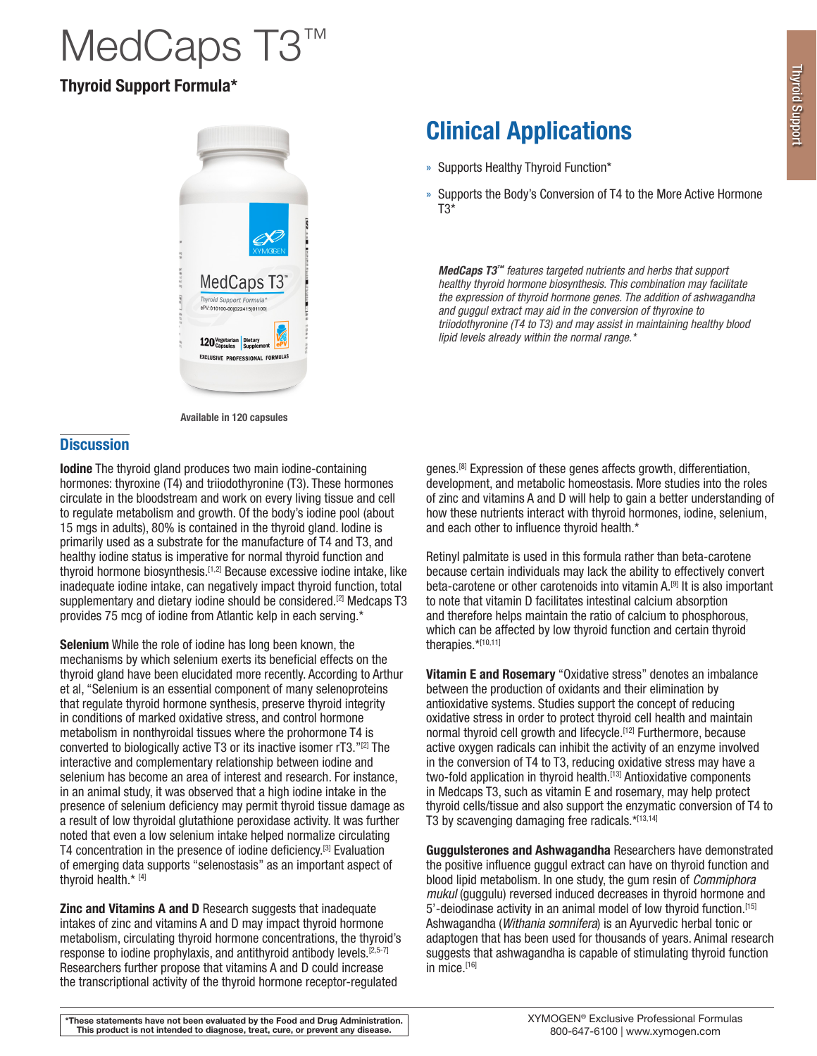# MedCaps T3™

### Thyroid Support Formula\*





#### **Discussion**

Iodine The thyroid gland produces two main iodine-containing hormones: thyroxine (T4) and triiodothyronine (T3). These hormones circulate in the bloodstream and work on every living tissue and cell to regulate metabolism and growth. Of the body's iodine pool (about 15 mgs in adults), 80% is contained in the thyroid gland. Iodine is primarily used as a substrate for the manufacture of T4 and T3, and healthy iodine status is imperative for normal thyroid function and thyroid hormone biosynthesis.<sup>[1,2]</sup> Because excessive iodine intake, like inadequate iodine intake, can negatively impact thyroid function, total supplementary and dietary iodine should be considered.<sup>[2]</sup> Medcaps T3 provides 75 mcg of iodine from Atlantic kelp in each serving.\*

Selenium While the role of iodine has long been known, the mechanisms by which selenium exerts its beneficial effects on the thyroid gland have been elucidated more recently. According to Arthur et al, "Selenium is an essential component of many selenoproteins that regulate thyroid hormone synthesis, preserve thyroid integrity in conditions of marked oxidative stress, and control hormone metabolism in nonthyroidal tissues where the prohormone T4 is converted to biologically active T3 or its inactive isomer rT3."[2] The interactive and complementary relationship between iodine and selenium has become an area of interest and research. For instance, in an animal study, it was observed that a high iodine intake in the presence of selenium deficiency may permit thyroid tissue damage as a result of low thyroidal glutathione peroxidase activity. It was further noted that even a low selenium intake helped normalize circulating T4 concentration in the presence of iodine deficiency.<sup>[3]</sup> Evaluation of emerging data supports "selenostasis" as an important aspect of thyroid health.\* [4]

Zinc and Vitamins A and D Research suggests that inadequate intakes of zinc and vitamins A and D may impact thyroid hormone metabolism, circulating thyroid hormone concentrations, the thyroid's response to iodine prophylaxis, and antithyroid antibody levels.<sup>[2,5-7]</sup> Researchers further propose that vitamins A and D could increase the transcriptional activity of the thyroid hormone receptor-regulated

## Clinical Applications

- » Supports Healthy Thyroid Function\*
- » Supports the Body's Conversion of T4 to the More Active Hormone T3\*

*MedCaps T3™ features targeted nutrients and herbs that support healthy thyroid hormone biosynthesis. This combination may facilitate the expression of thyroid hormone genes. The addition of ashwagandha and guggul extract may aid in the conversion of thyroxine to triiodothyronine (T4 to T3) and may assist in maintaining healthy blood lipid levels already within the normal range.\**

genes.<sup>[8]</sup> Expression of these genes affects growth, differentiation, development, and metabolic homeostasis. More studies into the roles of zinc and vitamins A and D will help to gain a better understanding of how these nutrients interact with thyroid hormones, iodine, selenium, and each other to influence thyroid health.\*

Retinyl palmitate is used in this formula rather than beta-carotene because certain individuals may lack the ability to effectively convert beta-carotene or other carotenoids into vitamin A.[9] It is also important to note that vitamin D facilitates intestinal calcium absorption and therefore helps maintain the ratio of calcium to phosphorous, which can be affected by low thyroid function and certain thyroid therapies.\*[10,11]

Vitamin E and Rosemary "Oxidative stress" denotes an imbalance between the production of oxidants and their elimination by antioxidative systems. Studies support the concept of reducing oxidative stress in order to protect thyroid cell health and maintain normal thyroid cell growth and lifecycle.<sup>[12]</sup> Furthermore, because active oxygen radicals can inhibit the activity of an enzyme involved in the conversion of T4 to T3, reducing oxidative stress may have a two-fold application in thyroid health.<sup>[13]</sup> Antioxidative components in Medcaps T3, such as vitamin E and rosemary, may help protect thyroid cells/tissue and also support the enzymatic conversion of T4 to T3 by scavenging damaging free radicals. $*$ [13,14]

Guggulsterones and Ashwagandha Researchers have demonstrated the positive influence guggul extract can have on thyroid function and blood lipid metabolism. In one study, the gum resin of *Commiphora mukul* (quaquiu) reversed induced decreases in thyroid hormone and 5'-deiodinase activity in an animal model of low thyroid function.<sup>[15]</sup> Ashwagandha (*Withania somnifera*) is an Ayurvedic herbal tonic or adaptogen that has been used for thousands of years. Animal research suggests that ashwagandha is capable of stimulating thyroid function in mice.[16]